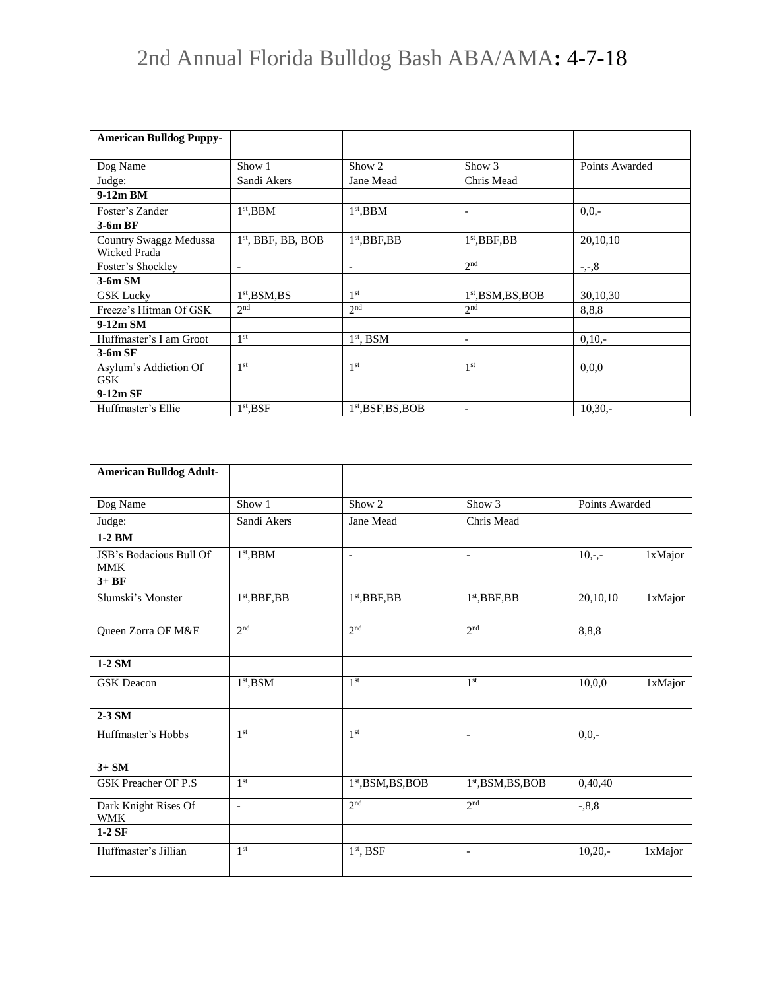## 2nd Annual Florida Bulldog Bash ABA/AMA**:** 4-7-18

| <b>American Bulldog Puppy-</b> |                          |                          |                          |                |
|--------------------------------|--------------------------|--------------------------|--------------------------|----------------|
|                                |                          |                          |                          |                |
| Dog Name                       | Show 1                   | Show 2                   | Show 3                   | Points Awarded |
| Judge:                         | Sandi Akers              | Jane Mead                | Chris Mead               |                |
| $9-12m$ BM                     |                          |                          |                          |                |
| Foster's Zander                | $1st$ , BBM              | $1st$ , BBM              | $\overline{\phantom{a}}$ | $0.0 -$        |
| $3-6mBF$                       |                          |                          |                          |                |
| Country Swaggz Medussa         | $1st$ , BBF, BB, BOB     | $1st$ , BBF, BB          | $1st$ , BBF, BB          | 20,10,10       |
| Wicked Prada                   |                          |                          |                          |                |
| Foster's Shockley              | $\overline{\phantom{a}}$ | $\overline{\phantom{a}}$ | 2 <sub>nd</sub>          | $-,-,8$        |
| $3-6m$ SM                      |                          |                          |                          |                |
| <b>GSK Lucky</b>               | $1st$ , BSM, BS          | 1 <sup>st</sup>          | $1st$ , BSM, BS, BOB     | 30,10,30       |
| Freeze's Hitman Of GSK         | 2 <sub>nd</sub>          | 2 <sub>nd</sub>          | 2 <sub>nd</sub>          | 8,8,8          |
| $9-12m SM$                     |                          |                          |                          |                |
| Huffmaster's I am Groot        | 1 <sup>st</sup>          | $1st$ , BSM              | $\overline{\phantom{a}}$ | $0,10,-$       |
| $3-6m$ SF                      |                          |                          |                          |                |
| Asylum's Addiction Of          | 1 <sup>st</sup>          | 1 <sup>st</sup>          | 1 <sup>st</sup>          | 0.0.0          |
| <b>GSK</b>                     |                          |                          |                          |                |
| $9-12m$ SF                     |                          |                          |                          |                |
| Huffmaster's Ellie             | $1st$ , BSF              | $1st$ , BSF, BS, BOB     | $\overline{\phantom{a}}$ | $10,30,-$      |

| <b>American Bulldog Adult-</b>        |                          |                                |                                |                |         |
|---------------------------------------|--------------------------|--------------------------------|--------------------------------|----------------|---------|
| Dog Name                              | Show 1                   | Show 2                         | Show 3                         | Points Awarded |         |
| Judge:                                | Sandi Akers              | Jane Mead                      | Chris Mead                     |                |         |
| 1-2 BM                                |                          |                                |                                |                |         |
| JSB's Bodacious Bull Of<br><b>MMK</b> | $1st,$ BBM               | $\overline{\phantom{a}}$       | $\blacksquare$                 | $10,-,-$       | 1xMajor |
| $3+BF$                                |                          |                                |                                |                |         |
| Slumski's Monster                     | $1st$ , BBF, BB          | 1 <sup>st</sup> , BBF, BB      | $1st$ , BBF, BB                | 20,10,10       | 1xMajor |
| <b>Oueen Zorra OF M&amp;E</b>         | 2 <sub>nd</sub>          | 2 <sub>nd</sub>                | 2 <sub>nd</sub>                | 8,8,8          |         |
| 1-2 SM                                |                          |                                |                                |                |         |
| <b>GSK</b> Deacon                     | 1 <sup>st</sup> , BSM    | 1 <sup>st</sup>                | 1 <sup>st</sup>                | 10,0,0         | 1xMajor |
| 2-3 SM                                |                          |                                |                                |                |         |
| Huffmaster's Hobbs                    | 1 <sup>st</sup>          | 1 <sup>st</sup>                | $\sim$                         | $0,0,-$        |         |
| $3+SM$                                |                          |                                |                                |                |         |
| <b>GSK Preacher OF P.S</b>            | 1 <sup>st</sup>          | 1 <sup>st</sup> , BSM, BS, BOB | 1 <sup>st</sup> , BSM, BS, BOB | 0,40,40        |         |
| Dark Knight Rises Of<br><b>WMK</b>    | $\overline{\phantom{a}}$ | 2 <sub>nd</sub>                | 2 <sup>nd</sup>                | $-0.8,8$       |         |
| $1-2SF$                               |                          |                                |                                |                |         |
| Huffmaster's Jillian                  | 1 <sup>st</sup>          | $1st$ , BSF                    | $\overline{\phantom{0}}$       | $10,20,-$      | 1xMajor |